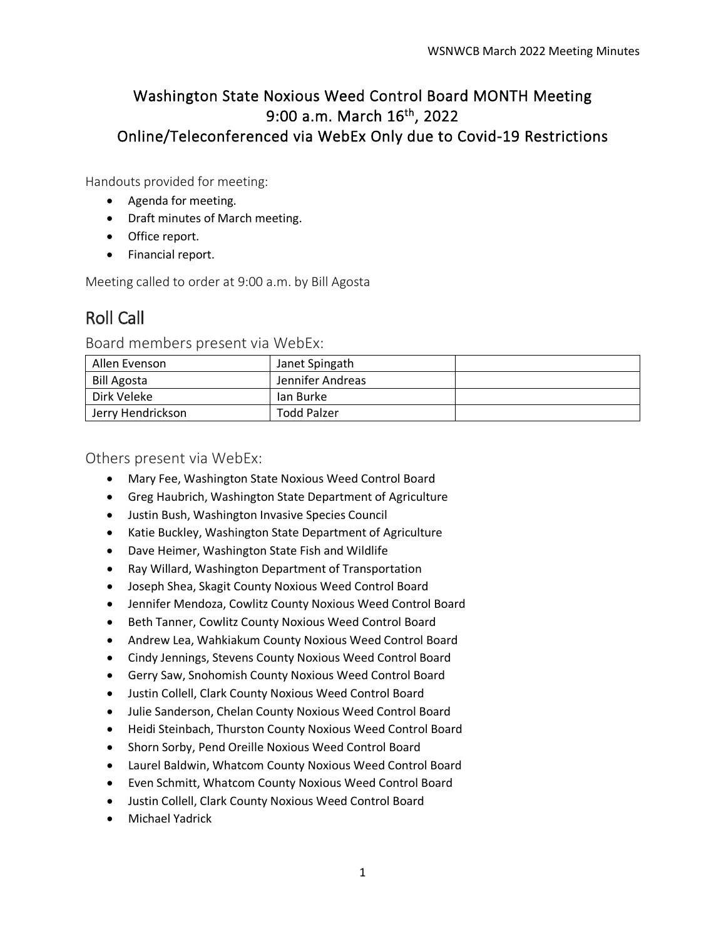## Washington State Noxious Weed Control Board MONTH Meeting 9:00 a.m. March 16th, 2022 Online/Teleconferenced via WebEx Only due to Covid-19 Restrictions

Handouts provided for meeting:

- Agenda for meeting.
- Draft minutes of March meeting.
- Office report.
- Financial report.

Meeting called to order at 9:00 a.m. by Bill Agosta

# Roll Call

Board members present via WebEx:

| Allen Evenson      | Janet Spingath     |  |
|--------------------|--------------------|--|
| <b>Bill Agosta</b> | Jennifer Andreas   |  |
| Dirk Veleke        | lan Burke          |  |
| Jerry Hendrickson  | <b>Todd Palzer</b> |  |

Others present via WebEx:

- Mary Fee, Washington State Noxious Weed Control Board
- Greg Haubrich, Washington State Department of Agriculture
- Justin Bush, Washington Invasive Species Council
- Katie Buckley, Washington State Department of Agriculture
- Dave Heimer, Washington State Fish and Wildlife
- Ray Willard, Washington Department of Transportation
- Joseph Shea, Skagit County Noxious Weed Control Board
- Jennifer Mendoza, Cowlitz County Noxious Weed Control Board
- Beth Tanner, Cowlitz County Noxious Weed Control Board
- Andrew Lea, Wahkiakum County Noxious Weed Control Board
- Cindy Jennings, Stevens County Noxious Weed Control Board
- Gerry Saw, Snohomish County Noxious Weed Control Board
- Justin Collell, Clark County Noxious Weed Control Board
- Julie Sanderson, Chelan County Noxious Weed Control Board
- Heidi Steinbach, Thurston County Noxious Weed Control Board
- Shorn Sorby, Pend Oreille Noxious Weed Control Board
- Laurel Baldwin, Whatcom County Noxious Weed Control Board
- Even Schmitt, Whatcom County Noxious Weed Control Board
- Justin Collell, Clark County Noxious Weed Control Board
- Michael Yadrick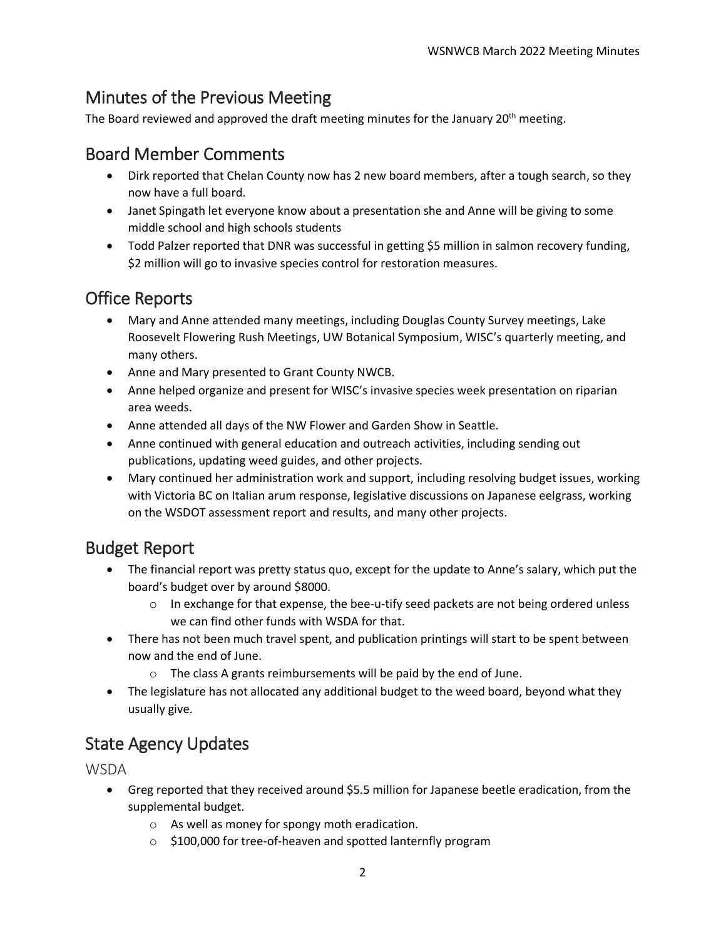# Minutes of the Previous Meeting

The Board reviewed and approved the draft meeting minutes for the January  $20<sup>th</sup>$  meeting.

## Board Member Comments

- Dirk reported that Chelan County now has 2 new board members, after a tough search, so they now have a full board.
- Janet Spingath let everyone know about a presentation she and Anne will be giving to some middle school and high schools students
- Todd Palzer reported that DNR was successful in getting \$5 million in salmon recovery funding, \$2 million will go to invasive species control for restoration measures.

# Office Reports

- Mary and Anne attended many meetings, including Douglas County Survey meetings, Lake Roosevelt Flowering Rush Meetings, UW Botanical Symposium, WISC's quarterly meeting, and many others.
- Anne and Mary presented to Grant County NWCB.
- Anne helped organize and present for WISC's invasive species week presentation on riparian area weeds.
- Anne attended all days of the NW Flower and Garden Show in Seattle.
- Anne continued with general education and outreach activities, including sending out publications, updating weed guides, and other projects.
- Mary continued her administration work and support, including resolving budget issues, working with Victoria BC on Italian arum response, legislative discussions on Japanese eelgrass, working on the WSDOT assessment report and results, and many other projects.

## Budget Report

- The financial report was pretty status quo, except for the update to Anne's salary, which put the board's budget over by around \$8000.
	- $\circ$  In exchange for that expense, the bee-u-tify seed packets are not being ordered unless we can find other funds with WSDA for that.
- There has not been much travel spent, and publication printings will start to be spent between now and the end of June.
	- o The class A grants reimbursements will be paid by the end of June.
- The legislature has not allocated any additional budget to the weed board, beyond what they usually give.

# State Agency Updates

**WSDA** 

- Greg reported that they received around \$5.5 million for Japanese beetle eradication, from the supplemental budget.
	- o As well as money for spongy moth eradication.
	- o \$100,000 for tree-of-heaven and spotted lanternfly program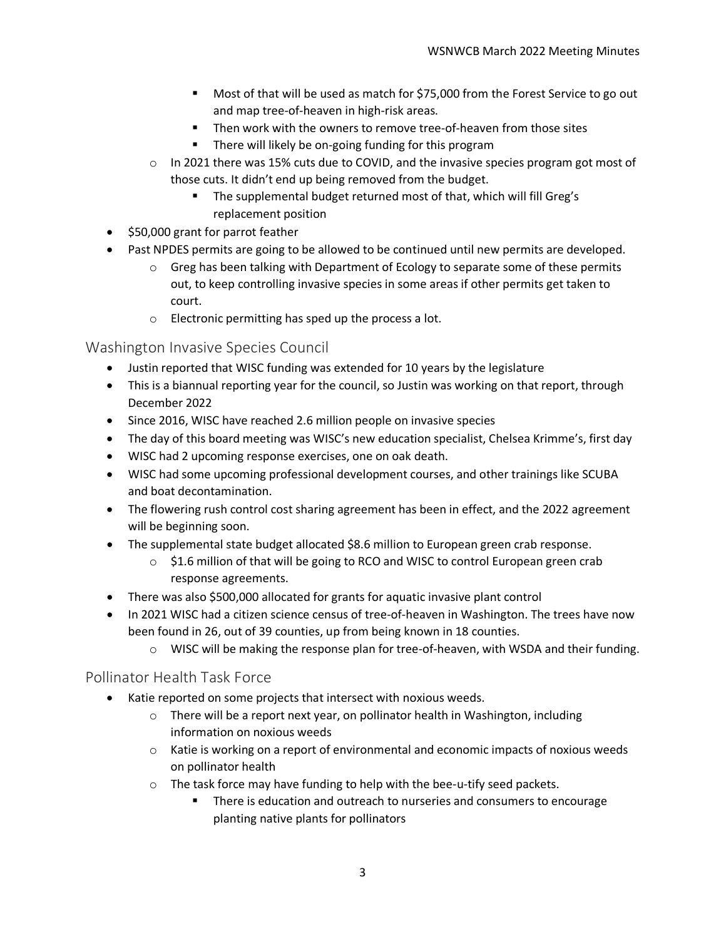- Most of that will be used as match for \$75,000 from the Forest Service to go out and map tree-of-heaven in high-risk areas.
- Then work with the owners to remove tree-of-heaven from those sites
- **There will likely be on-going funding for this program**
- o In 2021 there was 15% cuts due to COVID, and the invasive species program got most of those cuts. It didn't end up being removed from the budget.
	- **The supplemental budget returned most of that, which will fill Greg's** replacement position
- \$50,000 grant for parrot feather
- Past NPDES permits are going to be allowed to be continued until new permits are developed.
	- $\circ$  Greg has been talking with Department of Ecology to separate some of these permits out, to keep controlling invasive species in some areas if other permits get taken to court.
	- o Electronic permitting has sped up the process a lot.

Washington Invasive Species Council

- Justin reported that WISC funding was extended for 10 years by the legislature
- This is a biannual reporting year for the council, so Justin was working on that report, through December 2022
- Since 2016, WISC have reached 2.6 million people on invasive species
- The day of this board meeting was WISC's new education specialist, Chelsea Krimme's, first day
- WISC had 2 upcoming response exercises, one on oak death.
- WISC had some upcoming professional development courses, and other trainings like SCUBA and boat decontamination.
- The flowering rush control cost sharing agreement has been in effect, and the 2022 agreement will be beginning soon.
- The supplemental state budget allocated \$8.6 million to European green crab response.
	- $\circ$  \$1.6 million of that will be going to RCO and WISC to control European green crab response agreements.
- There was also \$500,000 allocated for grants for aquatic invasive plant control
- In 2021 WISC had a citizen science census of tree-of-heaven in Washington. The trees have now been found in 26, out of 39 counties, up from being known in 18 counties.
	- o WISC will be making the response plan for tree-of-heaven, with WSDA and their funding.

#### Pollinator Health Task Force

- Katie reported on some projects that intersect with noxious weeds.
	- $\circ$  There will be a report next year, on pollinator health in Washington, including information on noxious weeds
	- $\circ$  Katie is working on a report of environmental and economic impacts of noxious weeds on pollinator health
	- o The task force may have funding to help with the bee-u-tify seed packets.
		- **There is education and outreach to nurseries and consumers to encourage** planting native plants for pollinators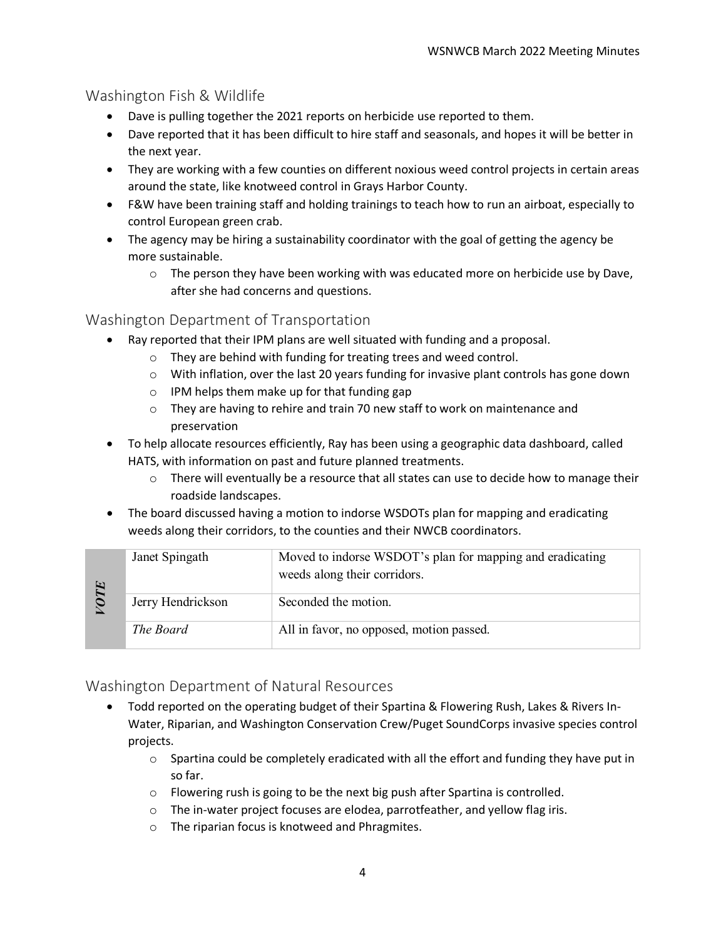## Washington Fish & Wildlife

- Dave is pulling together the 2021 reports on herbicide use reported to them.
- Dave reported that it has been difficult to hire staff and seasonals, and hopes it will be better in the next year.
- They are working with a few counties on different noxious weed control projects in certain areas around the state, like knotweed control in Grays Harbor County.
- F&W have been training staff and holding trainings to teach how to run an airboat, especially to control European green crab.
- The agency may be hiring a sustainability coordinator with the goal of getting the agency be more sustainable.
	- $\circ$  The person they have been working with was educated more on herbicide use by Dave, after she had concerns and questions.

## Washington Department of Transportation

- Ray reported that their IPM plans are well situated with funding and a proposal.
	- o They are behind with funding for treating trees and weed control.
	- $\circ$  With inflation, over the last 20 years funding for invasive plant controls has gone down
	- o IPM helps them make up for that funding gap
	- o They are having to rehire and train 70 new staff to work on maintenance and preservation
- To help allocate resources efficiently, Ray has been using a geographic data dashboard, called HATS, with information on past and future planned treatments.
	- $\circ$  There will eventually be a resource that all states can use to decide how to manage their roadside landscapes.
- The board discussed having a motion to indorse WSDOTs plan for mapping and eradicating weeds along their corridors, to the counties and their NWCB coordinators.

| $\ddot{\phantom{1}}$ | Janet Spingath    | Moved to indorse WSDOT's plan for mapping and eradicating<br>weeds along their corridors. |
|----------------------|-------------------|-------------------------------------------------------------------------------------------|
|                      | Jerry Hendrickson | Seconded the motion.                                                                      |
|                      | The Board         | All in favor, no opposed, motion passed.                                                  |

## Washington Department of Natural Resources

- Todd reported on the operating budget of their Spartina & Flowering Rush, Lakes & Rivers In-Water, Riparian, and Washington Conservation Crew/Puget SoundCorps invasive species control projects.
	- $\circ$  Spartina could be completely eradicated with all the effort and funding they have put in so far.
	- o Flowering rush is going to be the next big push after Spartina is controlled.
	- $\circ$  The in-water project focuses are elodea, parrotfeather, and yellow flag iris.
	- o The riparian focus is knotweed and Phragmites.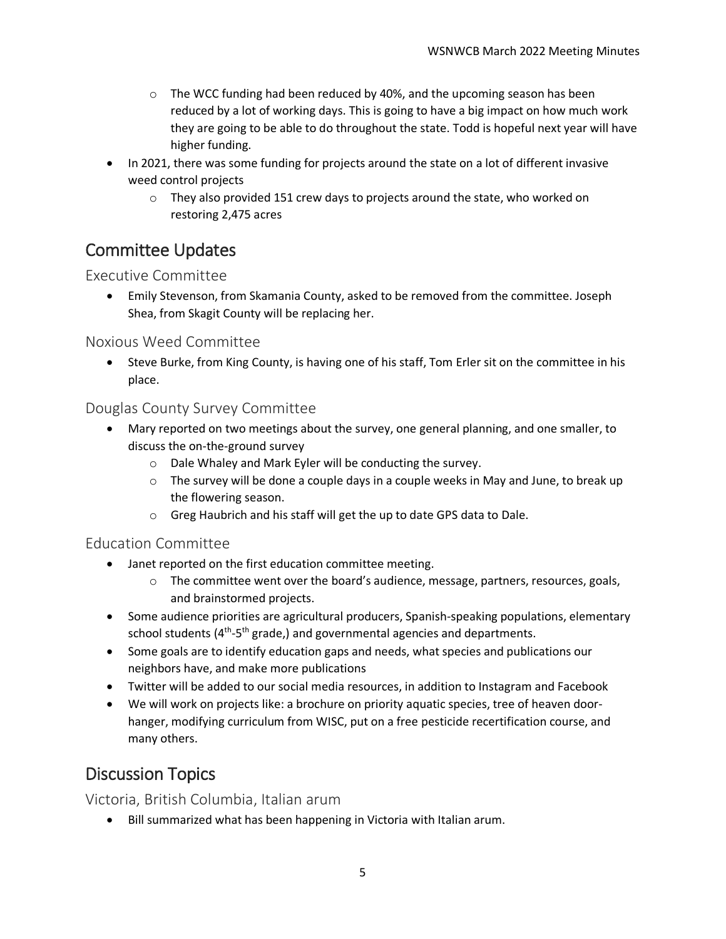- $\circ$  The WCC funding had been reduced by 40%, and the upcoming season has been reduced by a lot of working days. This is going to have a big impact on how much work they are going to be able to do throughout the state. Todd is hopeful next year will have higher funding.
- In 2021, there was some funding for projects around the state on a lot of different invasive weed control projects
	- $\circ$  They also provided 151 crew days to projects around the state, who worked on restoring 2,475 acres

# Committee Updates

### Executive Committee

• Emily Stevenson, from Skamania County, asked to be removed from the committee. Joseph Shea, from Skagit County will be replacing her.

### Noxious Weed Committee

• Steve Burke, from King County, is having one of his staff, Tom Erler sit on the committee in his place.

### Douglas County Survey Committee

- Mary reported on two meetings about the survey, one general planning, and one smaller, to discuss the on-the-ground survey
	- o Dale Whaley and Mark Eyler will be conducting the survey.
	- $\circ$  The survey will be done a couple days in a couple weeks in May and June, to break up the flowering season.
	- o Greg Haubrich and his staff will get the up to date GPS data to Dale.

## Education Committee

- Janet reported on the first education committee meeting.
	- $\circ$  The committee went over the board's audience, message, partners, resources, goals, and brainstormed projects.
- Some audience priorities are agricultural producers, Spanish-speaking populations, elementary school students  $(4^{th}-5^{th})$  grade,) and governmental agencies and departments.
- Some goals are to identify education gaps and needs, what species and publications our neighbors have, and make more publications
- Twitter will be added to our social media resources, in addition to Instagram and Facebook
- We will work on projects like: a brochure on priority aquatic species, tree of heaven doorhanger, modifying curriculum from WISC, put on a free pesticide recertification course, and many others.

# Discussion Topics

Victoria, British Columbia, Italian arum

• Bill summarized what has been happening in Victoria with Italian arum.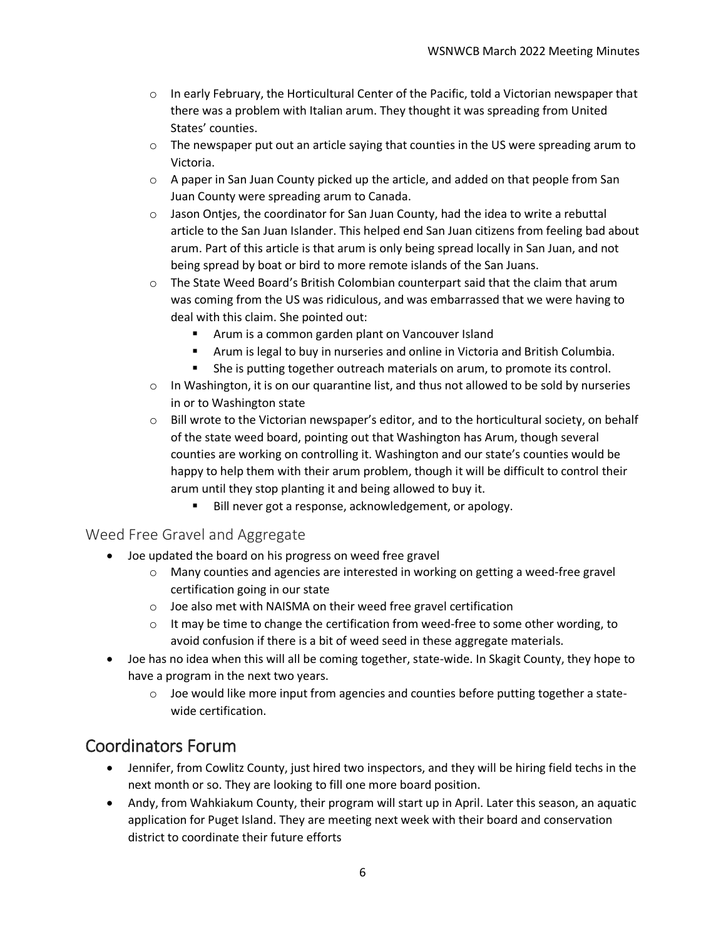- $\circ$  In early February, the Horticultural Center of the Pacific, told a Victorian newspaper that there was a problem with Italian arum. They thought it was spreading from United States' counties.
- $\circ$  The newspaper put out an article saying that counties in the US were spreading arum to Victoria.
- $\circ$  A paper in San Juan County picked up the article, and added on that people from San Juan County were spreading arum to Canada.
- $\circ$  Jason Ontjes, the coordinator for San Juan County, had the idea to write a rebuttal article to the San Juan Islander. This helped end San Juan citizens from feeling bad about arum. Part of this article is that arum is only being spread locally in San Juan, and not being spread by boat or bird to more remote islands of the San Juans.
- $\circ$  The State Weed Board's British Colombian counterpart said that the claim that arum was coming from the US was ridiculous, and was embarrassed that we were having to deal with this claim. She pointed out:
	- Arum is a common garden plant on Vancouver Island
	- Arum is legal to buy in nurseries and online in Victoria and British Columbia.
	- She is putting together outreach materials on arum, to promote its control.
- $\circ$  In Washington, it is on our quarantine list, and thus not allowed to be sold by nurseries in or to Washington state
- $\circ$  Bill wrote to the Victorian newspaper's editor, and to the horticultural society, on behalf of the state weed board, pointing out that Washington has Arum, though several counties are working on controlling it. Washington and our state's counties would be happy to help them with their arum problem, though it will be difficult to control their arum until they stop planting it and being allowed to buy it.
	- Bill never got a response, acknowledgement, or apology.

#### Weed Free Gravel and Aggregate

- Joe updated the board on his progress on weed free gravel
	- $\circ$  Many counties and agencies are interested in working on getting a weed-free gravel certification going in our state
	- o Joe also met with NAISMA on their weed free gravel certification
	- o It may be time to change the certification from weed-free to some other wording, to avoid confusion if there is a bit of weed seed in these aggregate materials.
- Joe has no idea when this will all be coming together, state-wide. In Skagit County, they hope to have a program in the next two years.
	- $\circ$  Joe would like more input from agencies and counties before putting together a statewide certification.

## Coordinators Forum

- Jennifer, from Cowlitz County, just hired two inspectors, and they will be hiring field techs in the next month or so. They are looking to fill one more board position.
- Andy, from Wahkiakum County, their program will start up in April. Later this season, an aquatic application for Puget Island. They are meeting next week with their board and conservation district to coordinate their future efforts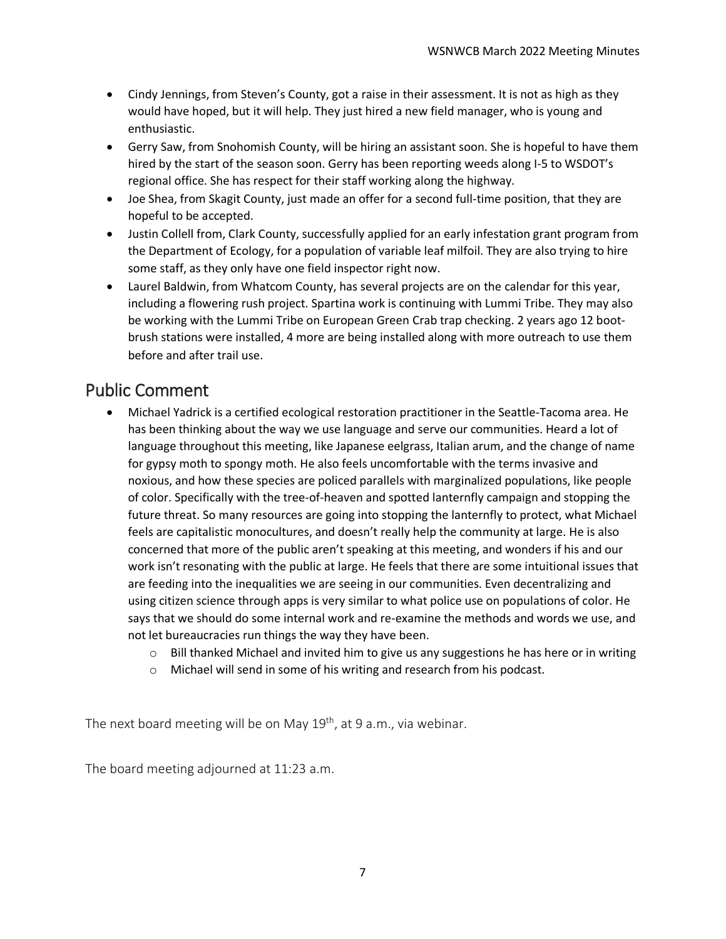- Cindy Jennings, from Steven's County, got a raise in their assessment. It is not as high as they would have hoped, but it will help. They just hired a new field manager, who is young and enthusiastic.
- Gerry Saw, from Snohomish County, will be hiring an assistant soon. She is hopeful to have them hired by the start of the season soon. Gerry has been reporting weeds along I-5 to WSDOT's regional office. She has respect for their staff working along the highway.
- Joe Shea, from Skagit County, just made an offer for a second full-time position, that they are hopeful to be accepted.
- Justin Collell from, Clark County, successfully applied for an early infestation grant program from the Department of Ecology, for a population of variable leaf milfoil. They are also trying to hire some staff, as they only have one field inspector right now.
- Laurel Baldwin, from Whatcom County, has several projects are on the calendar for this year, including a flowering rush project. Spartina work is continuing with Lummi Tribe. They may also be working with the Lummi Tribe on European Green Crab trap checking. 2 years ago 12 bootbrush stations were installed, 4 more are being installed along with more outreach to use them before and after trail use.

# Public Comment

- Michael Yadrick is a certified ecological restoration practitioner in the Seattle-Tacoma area. He has been thinking about the way we use language and serve our communities. Heard a lot of language throughout this meeting, like Japanese eelgrass, Italian arum, and the change of name for gypsy moth to spongy moth. He also feels uncomfortable with the terms invasive and noxious, and how these species are policed parallels with marginalized populations, like people of color. Specifically with the tree-of-heaven and spotted lanternfly campaign and stopping the future threat. So many resources are going into stopping the lanternfly to protect, what Michael feels are capitalistic monocultures, and doesn't really help the community at large. He is also concerned that more of the public aren't speaking at this meeting, and wonders if his and our work isn't resonating with the public at large. He feels that there are some intuitional issues that are feeding into the inequalities we are seeing in our communities. Even decentralizing and using citizen science through apps is very similar to what police use on populations of color. He says that we should do some internal work and re-examine the methods and words we use, and not let bureaucracies run things the way they have been.
	- $\circ$  Bill thanked Michael and invited him to give us any suggestions he has here or in writing
	- o Michael will send in some of his writing and research from his podcast.

The next board meeting will be on May 19<sup>th</sup>, at 9 a.m., via webinar.

The board meeting adjourned at 11:23 a.m.